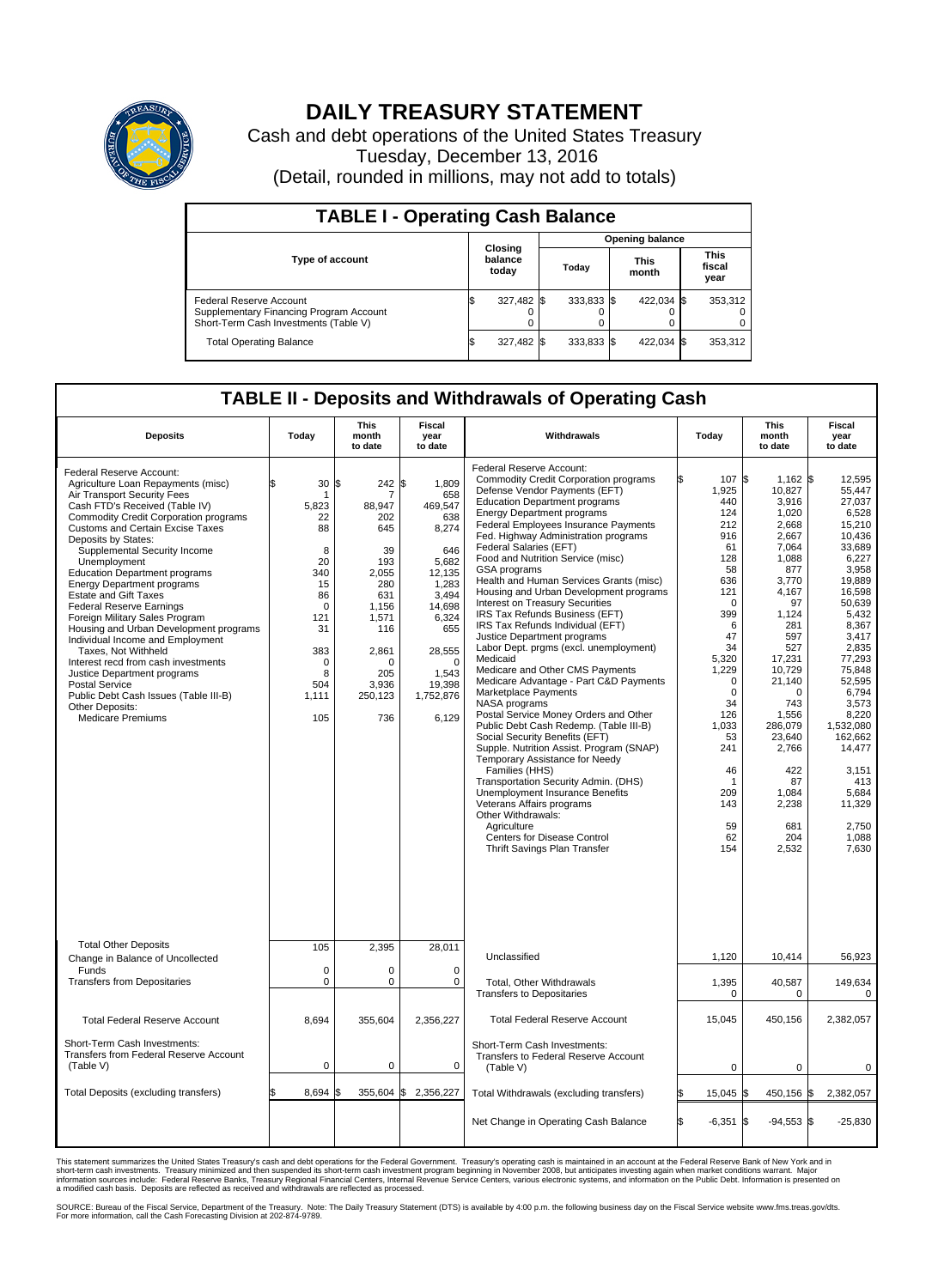

## **DAILY TREASURY STATEMENT**

Cash and debt operations of the United States Treasury Tuesday, December 13, 2016 (Detail, rounded in millions, may not add to totals)

| <b>TABLE I - Operating Cash Balance</b>                                                                     |  |                             |  |                        |  |                      |  |                               |  |  |  |
|-------------------------------------------------------------------------------------------------------------|--|-----------------------------|--|------------------------|--|----------------------|--|-------------------------------|--|--|--|
|                                                                                                             |  | Closing<br>balance<br>today |  | <b>Opening balance</b> |  |                      |  |                               |  |  |  |
| <b>Type of account</b>                                                                                      |  |                             |  | Todav                  |  | <b>This</b><br>month |  | <b>This</b><br>fiscal<br>year |  |  |  |
| Federal Reserve Account<br>Supplementary Financing Program Account<br>Short-Term Cash Investments (Table V) |  | 327,482                     |  | 333.833 \$             |  | 422.034 \$           |  | 353.312                       |  |  |  |
| <b>Total Operating Balance</b>                                                                              |  | 327,482                     |  | 333.833 \$             |  | 422,034 \$           |  | 353,312                       |  |  |  |

## **TABLE II - Deposits and Withdrawals of Operating Cash**

| <b>Deposits</b>                                                                                                                                                                                                                                                                                                                                                                                                                                                                                                                                                                                                                                                                                                                                                                        | Today                                                                                                                                       | <b>This</b><br>month<br>to date                                                                                                                               | <b>Fiscal</b><br>year<br>to date                                                                                                                                             | Withdrawals                                                                                                                                                                                                                                                                                                                                                                                                                                                                                                                                                                                                                                                                                                                                                                                                                                                                                                                                                                                                                                                                                                                                                                                            | Today                                                                                                                                                                                                                                            | <b>This</b><br>month<br>to date                                                                                                                                                                                                                                                       | Fiscal<br>year<br>to date                                                                                                                                                                                                                                                                                      |
|----------------------------------------------------------------------------------------------------------------------------------------------------------------------------------------------------------------------------------------------------------------------------------------------------------------------------------------------------------------------------------------------------------------------------------------------------------------------------------------------------------------------------------------------------------------------------------------------------------------------------------------------------------------------------------------------------------------------------------------------------------------------------------------|---------------------------------------------------------------------------------------------------------------------------------------------|---------------------------------------------------------------------------------------------------------------------------------------------------------------|------------------------------------------------------------------------------------------------------------------------------------------------------------------------------|--------------------------------------------------------------------------------------------------------------------------------------------------------------------------------------------------------------------------------------------------------------------------------------------------------------------------------------------------------------------------------------------------------------------------------------------------------------------------------------------------------------------------------------------------------------------------------------------------------------------------------------------------------------------------------------------------------------------------------------------------------------------------------------------------------------------------------------------------------------------------------------------------------------------------------------------------------------------------------------------------------------------------------------------------------------------------------------------------------------------------------------------------------------------------------------------------------|--------------------------------------------------------------------------------------------------------------------------------------------------------------------------------------------------------------------------------------------------|---------------------------------------------------------------------------------------------------------------------------------------------------------------------------------------------------------------------------------------------------------------------------------------|----------------------------------------------------------------------------------------------------------------------------------------------------------------------------------------------------------------------------------------------------------------------------------------------------------------|
| <b>Federal Reserve Account:</b><br>Agriculture Loan Repayments (misc)<br>Air Transport Security Fees<br>Cash FTD's Received (Table IV)<br><b>Commodity Credit Corporation programs</b><br><b>Customs and Certain Excise Taxes</b><br>Deposits by States:<br>Supplemental Security Income<br>Unemployment<br><b>Education Department programs</b><br><b>Energy Department programs</b><br><b>Estate and Gift Taxes</b><br><b>Federal Reserve Earnings</b><br>Foreign Military Sales Program<br>Housing and Urban Development programs<br>Individual Income and Employment<br>Taxes, Not Withheld<br>Interest recd from cash investments<br>Justice Department programs<br><b>Postal Service</b><br>Public Debt Cash Issues (Table III-B)<br>Other Deposits:<br><b>Medicare Premiums</b> | \$<br>30<br>1<br>5.823<br>22<br>88<br>8<br>20<br>340<br>15<br>86<br>$\Omega$<br>121<br>31<br>383<br>$\mathbf 0$<br>8<br>504<br>1,111<br>105 | 242 \$<br>\$<br>7<br>88,947<br>202<br>645<br>39<br>193<br>2,055<br>280<br>631<br>1,156<br>1,571<br>116<br>2,861<br>$\Omega$<br>205<br>3.936<br>250,123<br>736 | 1.809<br>658<br>469,547<br>638<br>8,274<br>646<br>5.682<br>12,135<br>1,283<br>3,494<br>14,698<br>6,324<br>655<br>28,555<br>$\Omega$<br>1,543<br>19,398<br>1,752,876<br>6,129 | Federal Reserve Account:<br><b>Commodity Credit Corporation programs</b><br>Defense Vendor Payments (EFT)<br><b>Education Department programs</b><br><b>Energy Department programs</b><br><b>Federal Employees Insurance Payments</b><br>Fed. Highway Administration programs<br>Federal Salaries (EFT)<br>Food and Nutrition Service (misc)<br>GSA programs<br>Health and Human Services Grants (misc)<br>Housing and Urban Development programs<br>Interest on Treasury Securities<br>IRS Tax Refunds Business (EFT)<br>IRS Tax Refunds Individual (EFT)<br>Justice Department programs<br>Labor Dept. prgms (excl. unemployment)<br>Medicaid<br>Medicare and Other CMS Payments<br>Medicare Advantage - Part C&D Payments<br>Marketplace Payments<br>NASA programs<br>Postal Service Money Orders and Other<br>Public Debt Cash Redemp. (Table III-B)<br>Social Security Benefits (EFT)<br>Supple. Nutrition Assist. Program (SNAP)<br>Temporary Assistance for Needy<br>Families (HHS)<br>Transportation Security Admin. (DHS)<br>Unemployment Insurance Benefits<br>Veterans Affairs programs<br>Other Withdrawals:<br>Agriculture<br>Centers for Disease Control<br>Thrift Savings Plan Transfer | 107 \$<br>1,925<br>440<br>124<br>212<br>916<br>61<br>128<br>58<br>636<br>121<br>$\mathbf 0$<br>399<br>6<br>47<br>34<br>5,320<br>1,229<br>$\mathbf 0$<br>$\Omega$<br>34<br>126<br>1,033<br>53<br>241<br>46<br>-1<br>209<br>143<br>59<br>62<br>154 | $1,162$ \$<br>10,827<br>3,916<br>1,020<br>2.668<br>2,667<br>7,064<br>1,088<br>877<br>3,770<br>4,167<br>97<br>1,124<br>281<br>597<br>527<br>17,231<br>10,729<br>21,140<br>$\Omega$<br>743<br>1,556<br>286.079<br>23,640<br>2,766<br>422<br>87<br>1,084<br>2,238<br>681<br>204<br>2,532 | 12,595<br>55.447<br>27,037<br>6,528<br>15.210<br>10,436<br>33.689<br>6,227<br>3.958<br>19,889<br>16,598<br>50,639<br>5,432<br>8,367<br>3,417<br>2,835<br>77.293<br>75,848<br>52,595<br>6,794<br>3,573<br>8,220<br>1.532.080<br>162,662<br>14,477<br>3,151<br>413<br>5,684<br>11,329<br>2,750<br>1,088<br>7,630 |
| <b>Total Other Deposits</b><br>Change in Balance of Uncollected                                                                                                                                                                                                                                                                                                                                                                                                                                                                                                                                                                                                                                                                                                                        | 105                                                                                                                                         | 2,395                                                                                                                                                         | 28,011                                                                                                                                                                       | Unclassified                                                                                                                                                                                                                                                                                                                                                                                                                                                                                                                                                                                                                                                                                                                                                                                                                                                                                                                                                                                                                                                                                                                                                                                           | 1,120                                                                                                                                                                                                                                            | 10,414                                                                                                                                                                                                                                                                                | 56,923                                                                                                                                                                                                                                                                                                         |
| Funds<br><b>Transfers from Depositaries</b>                                                                                                                                                                                                                                                                                                                                                                                                                                                                                                                                                                                                                                                                                                                                            | $\mathbf 0$<br>$\mathbf 0$                                                                                                                  | 0<br>0                                                                                                                                                        | $\mathbf 0$<br>$\mathbf 0$                                                                                                                                                   | Total, Other Withdrawals<br><b>Transfers to Depositaries</b>                                                                                                                                                                                                                                                                                                                                                                                                                                                                                                                                                                                                                                                                                                                                                                                                                                                                                                                                                                                                                                                                                                                                           | 1,395<br>0                                                                                                                                                                                                                                       | 40,587<br>0                                                                                                                                                                                                                                                                           | 149,634<br>0                                                                                                                                                                                                                                                                                                   |
| <b>Total Federal Reserve Account</b>                                                                                                                                                                                                                                                                                                                                                                                                                                                                                                                                                                                                                                                                                                                                                   | 8,694                                                                                                                                       | 355,604                                                                                                                                                       | 2,356,227                                                                                                                                                                    | <b>Total Federal Reserve Account</b>                                                                                                                                                                                                                                                                                                                                                                                                                                                                                                                                                                                                                                                                                                                                                                                                                                                                                                                                                                                                                                                                                                                                                                   | 15,045                                                                                                                                                                                                                                           | 450,156                                                                                                                                                                                                                                                                               | 2,382,057                                                                                                                                                                                                                                                                                                      |
| Short-Term Cash Investments:<br>Transfers from Federal Reserve Account<br>(Table V)                                                                                                                                                                                                                                                                                                                                                                                                                                                                                                                                                                                                                                                                                                    | $\pmb{0}$                                                                                                                                   | 0                                                                                                                                                             | 0                                                                                                                                                                            | Short-Term Cash Investments:<br>Transfers to Federal Reserve Account<br>(Table V)                                                                                                                                                                                                                                                                                                                                                                                                                                                                                                                                                                                                                                                                                                                                                                                                                                                                                                                                                                                                                                                                                                                      | $\mathbf 0$                                                                                                                                                                                                                                      | 0                                                                                                                                                                                                                                                                                     | 0                                                                                                                                                                                                                                                                                                              |
| Total Deposits (excluding transfers)                                                                                                                                                                                                                                                                                                                                                                                                                                                                                                                                                                                                                                                                                                                                                   | 8,694                                                                                                                                       | 355,604                                                                                                                                                       | \$<br>2,356,227                                                                                                                                                              | Total Withdrawals (excluding transfers)                                                                                                                                                                                                                                                                                                                                                                                                                                                                                                                                                                                                                                                                                                                                                                                                                                                                                                                                                                                                                                                                                                                                                                | 15,045                                                                                                                                                                                                                                           | 450,156 \$<br>I\$                                                                                                                                                                                                                                                                     | 2,382,057                                                                                                                                                                                                                                                                                                      |
|                                                                                                                                                                                                                                                                                                                                                                                                                                                                                                                                                                                                                                                                                                                                                                                        |                                                                                                                                             |                                                                                                                                                               |                                                                                                                                                                              | Net Change in Operating Cash Balance                                                                                                                                                                                                                                                                                                                                                                                                                                                                                                                                                                                                                                                                                                                                                                                                                                                                                                                                                                                                                                                                                                                                                                   | Ŝ.<br>$-6,351$ \$                                                                                                                                                                                                                                | $-94,553$ \$                                                                                                                                                                                                                                                                          | $-25,830$                                                                                                                                                                                                                                                                                                      |

This statement summarizes the United States Treasury's cash and debt operations for the Federal Government. Treasury's operating cash is maintained in an account at the Federal Reserve Bank of New York and in<br>short-term ca

SOURCE: Bureau of the Fiscal Service, Department of the Treasury. Note: The Daily Treasury Statement (DTS) is available by 4:00 p.m. the following business day on the Fiscal Service website www.fms.treas.gov/dts.<br>For more